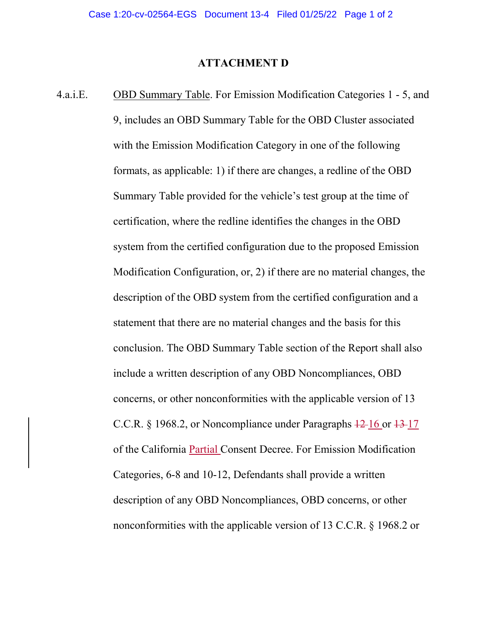## **ATTACHMENT D**

4.a.i.E. OBD Summary Table. For Emission Modification Categories 1 - 5, and 9, includes an OBD Summary Table for the OBD Cluster associated with the Emission Modification Category in one of the following formats, as applicable: 1) if there are changes, a redline of the OBD Summary Table provided for the vehicle's test group at the time of certification, where the redline identifies the changes in the OBD system from the certified configuration due to the proposed Emission Modification Configuration, or, 2) if there are no material changes, the description of the OBD system from the certified configuration and a statement that there are no material changes and the basis for this conclusion. The OBD Summary Table section of the Report shall also include a written description of any OBD Noncompliances, OBD concerns, or other nonconformities with the applicable version of 13 C.C.R. § 1968.2, or Noncompliance under Paragraphs  $\frac{12}{16}$  or  $\frac{13}{17}$ of the California **Partial Consent Decree. For Emission Modification** Categories, 6-8 and 10-12, Defendants shall provide a written description of any OBD Noncompliances, OBD concerns, or other nonconformities with the applicable version of 13 C.C.R. § 1968.2 or